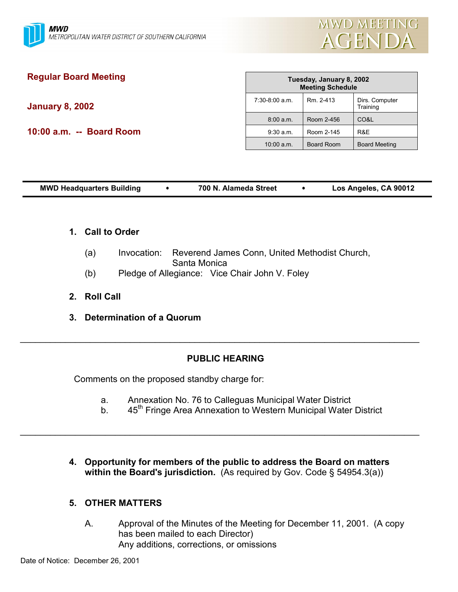

# **Regular Board Meeting**

**January 8, 2002**

**10:00 a.m. -- Board Room**

| Tuesday, January 8, 2002<br><b>Meeting Schedule</b> |                   |                            |
|-----------------------------------------------------|-------------------|----------------------------|
| $7:30-8:00$ a.m.                                    | Rm 2-413          | Dirs. Computer<br>Training |
| 8:00 a.m.                                           | Room 2-456        | CO&L                       |
| $9:30$ a.m.                                         | Room 2-145        | R&F                        |
| $10:00$ a.m.                                        | <b>Board Room</b> | <b>Board Meeting</b>       |

| Los Angeles, CA 90012<br><b>MWD Headquarters Building</b><br>700 N. Alameda Street |  |
|------------------------------------------------------------------------------------|--|
|------------------------------------------------------------------------------------|--|

- **1. Call to Order**
	- (a) Invocation: Reverend James Conn, United Methodist Church, Santa Monica
	- (b) Pledge of Allegiance: Vice Chair John V. Foley
- **2. Roll Call**
- **3. Determination of a Quorum**

## **PUBLIC HEARING**

 $\_$ 

Comments on the proposed standby charge for:

a. Annexation No. 76 to Calleguas Municipal Water District

 $\mathcal{L}_\mathcal{L} = \mathcal{L}_\mathcal{L} = \mathcal{L}_\mathcal{L} = \mathcal{L}_\mathcal{L} = \mathcal{L}_\mathcal{L} = \mathcal{L}_\mathcal{L} = \mathcal{L}_\mathcal{L} = \mathcal{L}_\mathcal{L} = \mathcal{L}_\mathcal{L} = \mathcal{L}_\mathcal{L} = \mathcal{L}_\mathcal{L} = \mathcal{L}_\mathcal{L} = \mathcal{L}_\mathcal{L} = \mathcal{L}_\mathcal{L} = \mathcal{L}_\mathcal{L} = \mathcal{L}_\mathcal{L} = \mathcal{L}_\mathcal{L}$ 

- b. 45<sup>th</sup> Fringe Area Annexation to Western Municipal Water District
- **4. Opportunity for members of the public to address the Board on matters within the Board's jurisdiction.** (As required by Gov. Code § 54954.3(a))

## **5. OTHER MATTERS**

A. Approval of the Minutes of the Meeting for December 11, 2001. (A copy has been mailed to each Director) Any additions, corrections, or omissions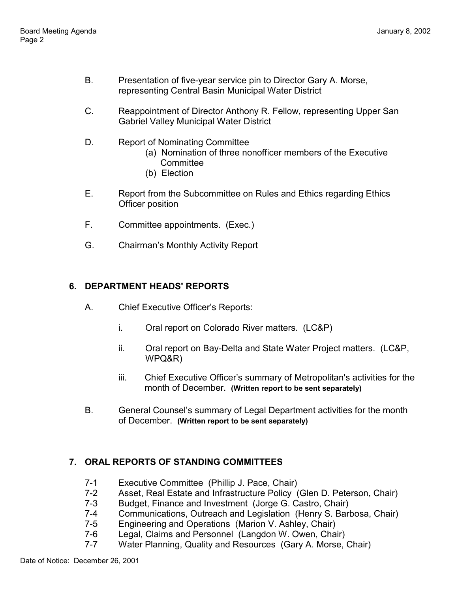- B. Presentation of five-year service pin to Director Gary A. Morse, representing Central Basin Municipal Water District
- C. Reappointment of Director Anthony R. Fellow, representing Upper San Gabriel Valley Municipal Water District
- D. Report of Nominating Committee
	- (a) Nomination of three nonofficer members of the Executive **Committee**
	- (b) Election
- E. Report from the Subcommittee on Rules and Ethics regarding Ethics Officer position
- F. Committee appointments. (Exec.)
- G. Chairmanís Monthly Activity Report

## **6. DEPARTMENT HEADS' REPORTS**

- A. Chief Executive Officerís Reports:
	- i. Oral report on Colorado River matters. (LC&P)
	- ii. Oral report on Bay-Delta and State Water Project matters. (LC&P, WPQ&R)
	- iii. Chief Executive Officer's summary of Metropolitan's activities for the month of December. **(Written report to be sent separately)**
- B. General Counsel's summary of Legal Department activities for the month of December. **(Written report to be sent separately)**

## **7. ORAL REPORTS OF STANDING COMMITTEES**

- 7-1 Executive Committee (Phillip J. Pace, Chair)
- 7-2 Asset, Real Estate and Infrastructure Policy (Glen D. Peterson, Chair)
- 7-3 Budget, Finance and Investment (Jorge G. Castro, Chair)
- 7-4 Communications, Outreach and Legislation (Henry S. Barbosa, Chair)
- 7-5 Engineering and Operations (Marion V. Ashley, Chair)
- 7-6 Legal, Claims and Personnel (Langdon W. Owen, Chair)
- 7-7 Water Planning, Quality and Resources (Gary A. Morse, Chair)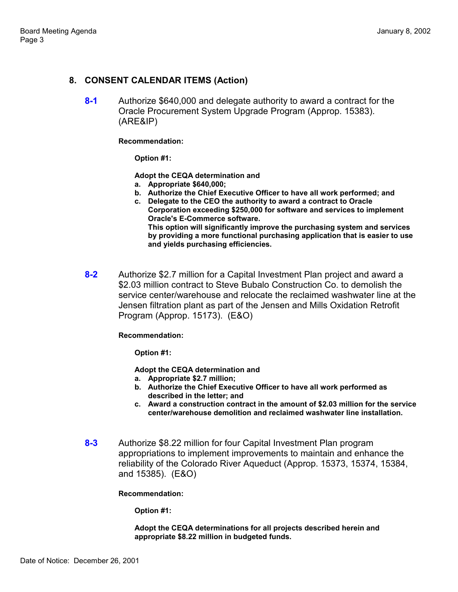### **8. CONSENT CALENDAR ITEMS (Action)**

**8-1** Authorize \$640,000 and delegate authority to award a contract for the Oracle Procurement System Upgrade Program (Approp. 15383). (ARE&IP)

#### **Recommendation:**

**Option #1:**

**Adopt the CEQA determination and**

- **a. Appropriate \$640,000;**
- **b. Authorize the Chief Executive Officer to have all work performed; and**
- **c. Delegate to the CEO the authority to award a contract to Oracle Corporation exceeding \$250,000 for software and services to implement Oracle's E-Commerce software. This option will significantly improve the purchasing system and services by providing a more functional purchasing application that is easier to use and yields purchasing efficiencies.**
- **8-2** Authorize \$2.7 million for a Capital Investment Plan project and award a \$2.03 million contract to Steve Bubalo Construction Co. to demolish the service center/warehouse and relocate the reclaimed washwater line at the Jensen filtration plant as part of the Jensen and Mills Oxidation Retrofit Program (Approp. 15173). (E&O)

#### **Recommendation:**

**Option #1:**

**Adopt the CEQA determination and**

- **a. Appropriate \$2.7 million;**
- **b. Authorize the Chief Executive Officer to have all work performed as described in the letter; and**
- **c. Award a construction contract in the amount of \$2.03 million for the service center/warehouse demolition and reclaimed washwater line installation.**
- **8-3** Authorize \$8.22 million for four Capital Investment Plan program appropriations to implement improvements to maintain and enhance the reliability of the Colorado River Aqueduct (Approp. 15373, 15374, 15384, and 15385). (E&O)

**Recommendation:**

**Option #1:**

**Adopt the CEQA determinations for all projects described herein and appropriate \$8.22 million in budgeted funds.**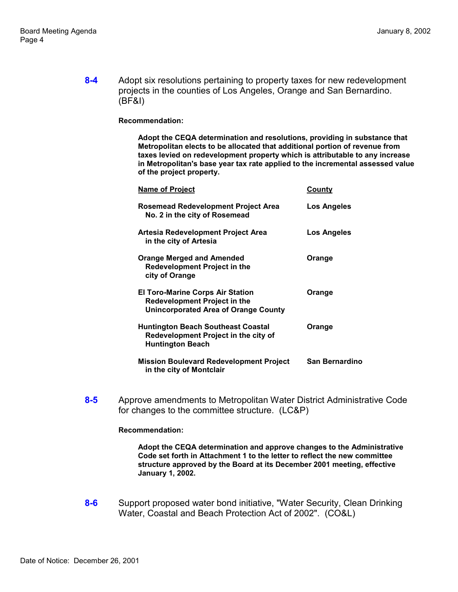**8-4** Adopt six resolutions pertaining to property taxes for new redevelopment projects in the counties of Los Angeles, Orange and San Bernardino. (BF&I)

#### **Recommendation:**

**Adopt the CEQA determination and resolutions, providing in substance that Metropolitan elects to be allocated that additional portion of revenue from taxes levied on redevelopment property which is attributable to any increase in Metropolitan's base year tax rate applied to the incremental assessed value of the project property.**

| <b>Name of Project</b>                                                                                                 | County                |
|------------------------------------------------------------------------------------------------------------------------|-----------------------|
| Rosemead Redevelopment Project Area<br>No. 2 in the city of Rosemead                                                   | Los Angeles           |
| Artesia Redevelopment Project Area<br>in the city of Artesia                                                           | Los Angeles           |
| <b>Orange Merged and Amended</b><br><b>Redevelopment Project in the</b><br>city of Orange                              | Orange                |
| <b>El Toro-Marine Corps Air Station</b><br><b>Redevelopment Project in the</b><br>Unincorporated Area of Orange County | Orange                |
| <b>Huntington Beach Southeast Coastal</b><br>Redevelopment Project in the city of<br><b>Huntington Beach</b>           | Orange                |
| <b>Mission Boulevard Redevelopment Project</b><br>in the city of Montclair                                             | <b>San Bernardino</b> |

**8-5** Approve amendments to Metropolitan Water District Administrative Code for changes to the committee structure. (LC&P)

#### **Recommendation:**

**Adopt the CEQA determination and approve changes to the Administrative Code set forth in Attachment 1 to the letter to reflect the new committee structure approved by the Board at its December 2001 meeting, effective January 1, 2002.**

**8-6** Support proposed water bond initiative, "Water Security, Clean Drinking Water, Coastal and Beach Protection Act of 2002". (CO&L)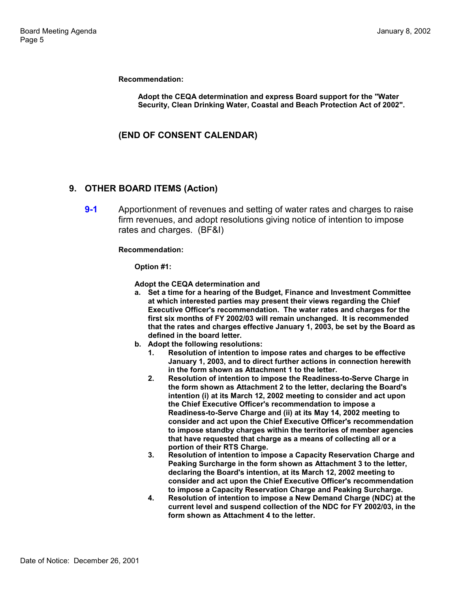**Recommendation:**

**Adopt the CEQA determination and express Board support for the "Water Security, Clean Drinking Water, Coastal and Beach Protection Act of 2002".**

**(END OF CONSENT CALENDAR)**

### **9. OTHER BOARD ITEMS (Action)**

**9-1** Apportionment of revenues and setting of water rates and charges to raise firm revenues, and adopt resolutions giving notice of intention to impose rates and charges. (BF&I)

**Recommendation:**

**Option #1:**

**Adopt the CEQA determination and**

- **a. Set a time for a hearing of the Budget, Finance and Investment Committee at which interested parties may present their views regarding the Chief Executive Officer's recommendation. The water rates and charges for the first six months of FY 2002/03 will remain unchanged. It is recommended that the rates and charges effective January 1, 2003, be set by the Board as defined in the board letter.**
- **b. Adopt the following resolutions:**
	- **1. Resolution of intention to impose rates and charges to be effective January 1, 2003, and to direct further actions in connection herewith in the form shown as Attachment 1 to the letter.**
	- **2. Resolution of intention to impose the Readiness-to-Serve Charge in the form shown as Attachment 2 to the letter, declaring the Board's intention (i) at its March 12, 2002 meeting to consider and act upon the Chief Executive Officer's recommendation to impose a Readiness-to-Serve Charge and (ii) at its May 14, 2002 meeting to consider and act upon the Chief Executive Officer's recommendation to impose standby charges within the territories of member agencies that have requested that charge as a means of collecting all or a portion of their RTS Charge.**
	- **3. Resolution of intention to impose a Capacity Reservation Charge and Peaking Surcharge in the form shown as Attachment 3 to the letter, declaring the Board's intention, at its March 12, 2002 meeting to consider and act upon the Chief Executive Officer's recommendation to impose a Capacity Reservation Charge and Peaking Surcharge.**
	- **4. Resolution of intention to impose a New Demand Charge (NDC) at the current level and suspend collection of the NDC for FY 2002/03, in the form shown as Attachment 4 to the letter.**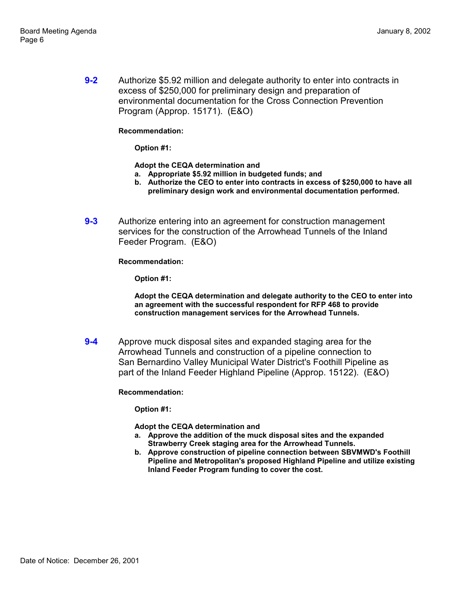**9-2** Authorize \$5.92 million and delegate authority to enter into contracts in excess of \$250,000 for preliminary design and preparation of environmental documentation for the Cross Connection Prevention Program (Approp. 15171). (E&O)

#### **Recommendation:**

**Option #1:**

**Adopt the CEQA determination and**

- **a. Appropriate \$5.92 million in budgeted funds; and**
- **b. Authorize the CEO to enter into contracts in excess of \$250,000 to have all preliminary design work and environmental documentation performed.**
- **9-3** Authorize entering into an agreement for construction management services for the construction of the Arrowhead Tunnels of the Inland Feeder Program. (E&O)

**Recommendation:**

**Option #1:**

**Adopt the CEQA determination and delegate authority to the CEO to enter into an agreement with the successful respondent for RFP 468 to provide construction management services for the Arrowhead Tunnels.**

**9-4** Approve muck disposal sites and expanded staging area for the Arrowhead Tunnels and construction of a pipeline connection to San Bernardino Valley Municipal Water District's Foothill Pipeline as part of the Inland Feeder Highland Pipeline (Approp. 15122). (E&O)

**Recommendation:**

**Option #1:**

**Adopt the CEQA determination and**

- **a. Approve the addition of the muck disposal sites and the expanded Strawberry Creek staging area for the Arrowhead Tunnels.**
- **b. Approve construction of pipeline connection between SBVMWD's Foothill Pipeline and Metropolitan's proposed Highland Pipeline and utilize existing Inland Feeder Program funding to cover the cost.**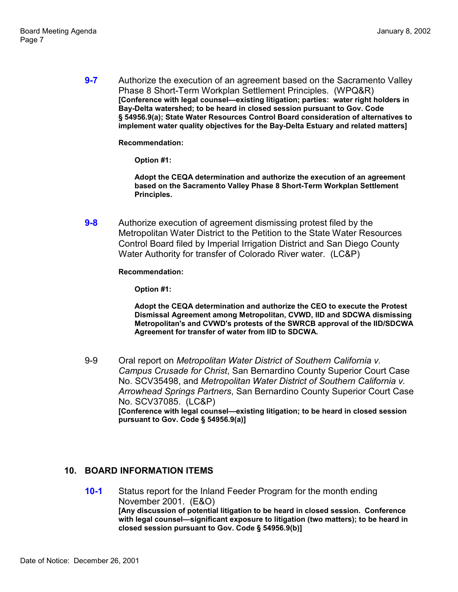**9-7** Authorize the execution of an agreement based on the Sacramento Valley Phase 8 Short-Term Workplan Settlement Principles. (WPQ&R) **[Conference with legal counsel—existing litigation; parties: water right holders in Bay-Delta watershed; to be heard in closed session pursuant to Gov. Code ß 54956.9(a); State Water Resources Control Board consideration of alternatives to implement water quality objectives for the Bay-Delta Estuary and related matters]**

**Recommendation:**

**Option #1:**

**Adopt the CEQA determination and authorize the execution of an agreement based on the Sacramento Valley Phase 8 Short-Term Workplan Settlement Principles.**

**9-8** Authorize execution of agreement dismissing protest filed by the Metropolitan Water District to the Petition to the State Water Resources Control Board filed by Imperial Irrigation District and San Diego County Water Authority for transfer of Colorado River water. (LC&P)

**Recommendation:**

**Option #1:**

**Adopt the CEQA determination and authorize the CEO to execute the Protest Dismissal Agreement among Metropolitan, CVWD, IID and SDCWA dismissing Metropolitan's and CVWD's protests of the SWRCB approval of the IID/SDCWA Agreement for transfer of water from IID to SDCWA.**

9-9 Oral report on *Metropolitan Water District of Southern California v. Campus Crusade for Christ*, San Bernardino County Superior Court Case No. SCV35498, and *Metropolitan Water District of Southern California v. Arrowhead Springs Partners*, San Bernardino County Superior Court Case No. SCV37085. (LC&P) [Conference with legal counsel-existing litigation; to be heard in closed session **pursuant to Gov. Code ß 54956.9(a)]**

### **10. BOARD INFORMATION ITEMS**

**10-1** Status report for the Inland Feeder Program for the month ending November 2001. (E&O) **[Any discussion of potential litigation to be heard in closed session. Conference** with legal counsel-significant exposure to litigation (two matters); to be heard in **closed session pursuant to Gov. Code ß 54956.9(b)]**